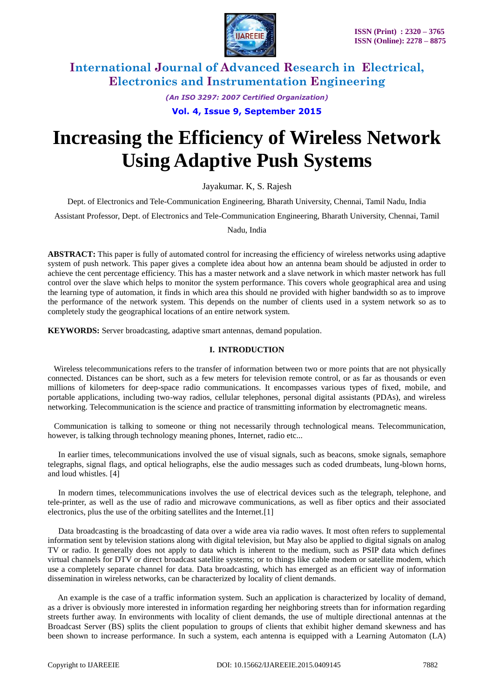

*(An ISO 3297: 2007 Certified Organization)*

**Vol. 4, Issue 9, September 2015**

# **Increasing the Efficiency of Wireless Network Using Adaptive Push Systems**

Jayakumar. K, S. Rajesh

Dept. of Electronics and Tele-Communication Engineering, Bharath University, Chennai, Tamil Nadu, India

Assistant Professor, Dept. of Electronics and Tele-Communication Engineering, Bharath University, Chennai, Tamil

Nadu, India

**ABSTRACT:** This paper is fully of automated control for increasing the efficiency of wireless networks using adaptive system of push network. This paper gives a complete idea about how an antenna beam should be adjusted in order to achieve the cent percentage efficiency. This has a master network and a slave network in which master network has full control over the slave which helps to monitor the system performance. This covers whole geographical area and using the learning type of automation, it finds in which area this should ne provided with higher bandwidth so as to improve the performance of the network system. This depends on the number of clients used in a system network so as to completely study the geographical locations of an entire network system.

**KEYWORDS:** Server broadcasting, adaptive smart antennas, demand population.

### **I. INTRODUCTION**

 Wireless telecommunications refers to the transfer of information between two or more points that are not physically connected. Distances can be short, such as a few meters for television remote control, or as far as thousands or even millions of kilometers for deep-space radio communications. It encompasses various types of fixed, mobile, and portable applications, including two-way radios, cellular telephones, personal digital assistants (PDAs), and wireless networking. Telecommunication is the science and practice of transmitting information by electromagnetic means.

 Communication is talking to someone or thing not necessarily through technological means. Telecommunication, however, is talking through technology meaning phones, Internet, radio etc...

 In earlier times, telecommunications involved the use of visual signals, such as beacons, smoke signals, semaphore telegraphs, signal flags, and optical heliographs, else the audio messages such as coded drumbeats, lung-blown horns, and loud whistles. [4]

 In modern times, telecommunications involves the use of electrical devices such as the telegraph, telephone, and tele-printer, as well as the use of radio and microwave communications, as well as fiber optics and their associated electronics, plus the use of the orbiting satellites and the Internet.[1]

 Data broadcasting is the broadcasting of data over a wide area via radio waves. It most often refers to supplemental information sent by television stations along with digital television, but May also be applied to digital signals on analog TV or radio. It generally does not apply to data which is inherent to the medium, such as PSIP data which defines virtual channels for DTV or direct broadcast satellite systems; or to things like cable modem or satellite modem, which use a completely separate channel for data. Data broadcasting, which has emerged as an efficient way of information dissemination in wireless networks, can be characterized by locality of client demands.

 An example is the case of a traffic information system. Such an application is characterized by locality of demand, as a driver is obviously more interested in information regarding her neighboring streets than for information regarding streets further away. In environments with locality of client demands, the use of multiple directional antennas at the Broadcast Server (BS) splits the client population to groups of clients that exhibit higher demand skewness and has been shown to increase performance. In such a system, each antenna is equipped with a Learning Automaton (LA)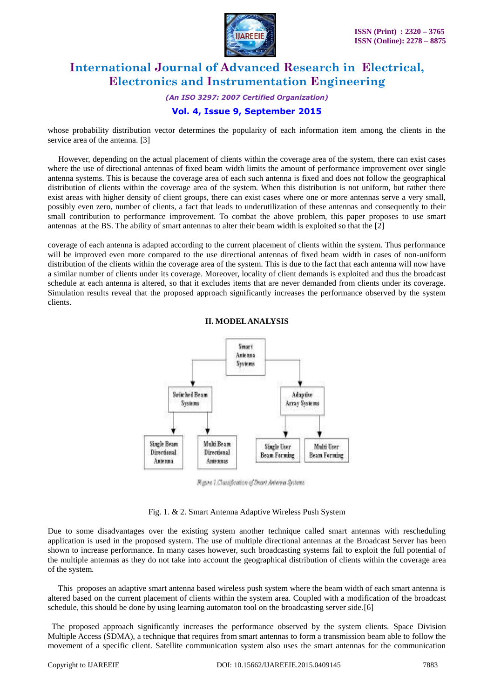

*(An ISO 3297: 2007 Certified Organization)*

### **Vol. 4, Issue 9, September 2015**

whose probability distribution vector determines the popularity of each information item among the clients in the service area of the antenna. [3]

 However, depending on the actual placement of clients within the coverage area of the system, there can exist cases where the use of directional antennas of fixed beam width limits the amount of performance improvement over single antenna systems. This is because the coverage area of each such antenna is fixed and does not follow the geographical distribution of clients within the coverage area of the system. When this distribution is not uniform, but rather there exist areas with higher density of client groups, there can exist cases where one or more antennas serve a very small, possibly even zero, number of clients, a fact that leads to underutilization of these antennas and consequently to their small contribution to performance improvement. To combat the above problem, this paper proposes to use smart antennas at the BS. The ability of smart antennas to alter their beam width is exploited so that the [2]

coverage of each antenna is adapted according to the current placement of clients within the system. Thus performance will be improved even more compared to the use directional antennas of fixed beam width in cases of non-uniform distribution of the clients within the coverage area of the system. This is due to the fact that each antenna will now have a similar number of clients under its coverage. Moreover, locality of client demands is exploited and thus the broadcast schedule at each antenna is altered, so that it excludes items that are never demanded from clients under its coverage. Simulation results reveal that the proposed approach significantly increases the performance observed by the system clients.



**II. MODELANALYSIS**

Figure 1. Classification of Smart Antenna Systems

#### Fig. 1. & 2. Smart Antenna Adaptive Wireless Push System

Due to some disadvantages over the existing system another technique called smart antennas with rescheduling application is used in the proposed system. The use of multiple directional antennas at the Broadcast Server has been shown to increase performance. In many cases however, such broadcasting systems fail to exploit the full potential of the multiple antennas as they do not take into account the geographical distribution of clients within the coverage area of the system.

 This proposes an adaptive smart antenna based wireless push system where the beam width of each smart antenna is altered based on the current placement of clients within the system area. Coupled with a modification of the broadcast schedule, this should be done by using learning automaton tool on the broadcasting server side.[6]

 The proposed approach significantly increases the performance observed by the system clients. Space Division Multiple Access (SDMA), a technique that requires from smart antennas to form a transmission beam able to follow the movement of a specific client. Satellite communication system also uses the smart antennas for the communication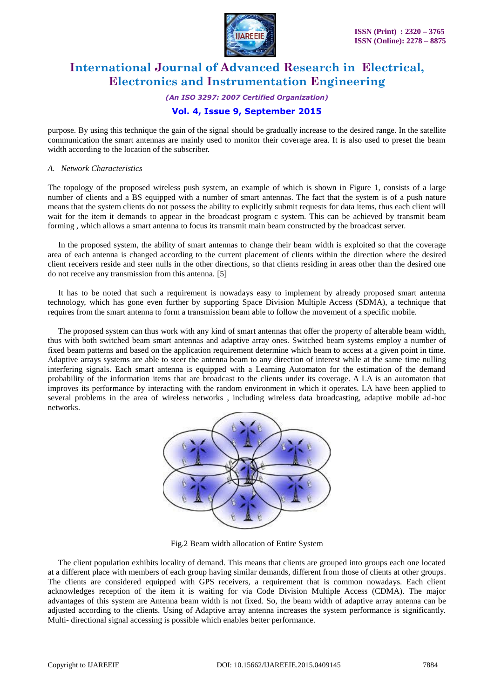

*(An ISO 3297: 2007 Certified Organization)*

### **Vol. 4, Issue 9, September 2015**

purpose. By using this technique the gain of the signal should be gradually increase to the desired range. In the satellite communication the smart antennas are mainly used to monitor their coverage area. It is also used to preset the beam width according to the location of the subscriber.

#### *A. Network Characteristics*

The topology of the proposed wireless push system, an example of which is shown in Figure 1, consists of a large number of clients and a BS equipped with a number of smart antennas. The fact that the system is of a push nature means that the system clients do not possess the ability to explicitly submit requests for data items, thus each client will wait for the item it demands to appear in the broadcast program c system. This can be achieved by transmit beam forming , which allows a smart antenna to focus its transmit main beam constructed by the broadcast server.

 In the proposed system, the ability of smart antennas to change their beam width is exploited so that the coverage area of each antenna is changed according to the current placement of clients within the direction where the desired client receivers reside and steer nulls in the other directions, so that clients residing in areas other than the desired one do not receive any transmission from this antenna. [5]

 It has to be noted that such a requirement is nowadays easy to implement by already proposed smart antenna technology, which has gone even further by supporting Space Division Multiple Access (SDMA), a technique that requires from the smart antenna to form a transmission beam able to follow the movement of a specific mobile.

 The proposed system can thus work with any kind of smart antennas that offer the property of alterable beam width, thus with both switched beam smart antennas and adaptive array ones. Switched beam systems employ a number of fixed beam patterns and based on the application requirement determine which beam to access at a given point in time. Adaptive arrays systems are able to steer the antenna beam to any direction of interest while at the same time nulling interfering signals. Each smart antenna is equipped with a Learning Automaton for the estimation of the demand probability of the information items that are broadcast to the clients under its coverage. A LA is an automaton that improves its performance by interacting with the random environment in which it operates. LA have been applied to several problems in the area of wireless networks , including wireless data broadcasting, adaptive mobile ad-hoc networks.



Fig.2 Beam width allocation of Entire System

 The client population exhibits locality of demand. This means that clients are grouped into groups each one located at a different place with members of each group having similar demands, different from those of clients at other groups. The clients are considered equipped with GPS receivers, a requirement that is common nowadays. Each client acknowledges reception of the item it is waiting for via Code Division Multiple Access (CDMA). The major advantages of this system are Antenna beam width is not fixed. So, the beam width of adaptive array antenna can be adjusted according to the clients. Using of Adaptive array antenna increases the system performance is significantly. Multi- directional signal accessing is possible which enables better performance.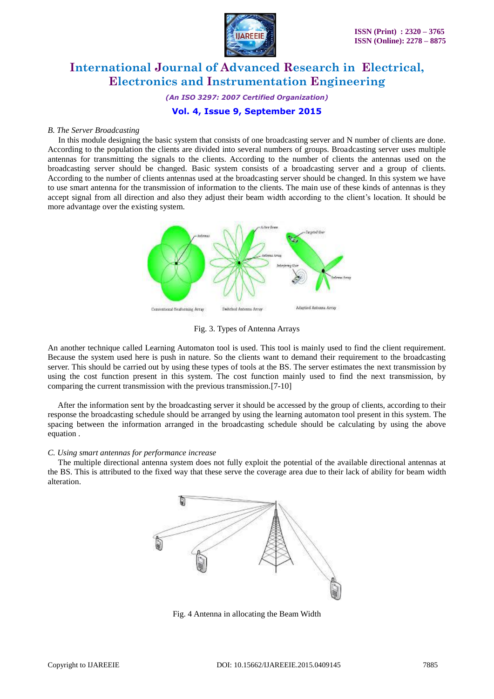

*(An ISO 3297: 2007 Certified Organization)*

### **Vol. 4, Issue 9, September 2015**

#### *B. The Server Broadcasting*

 In this module designing the basic system that consists of one broadcasting server and N number of clients are done. According to the population the clients are divided into several numbers of groups. Broadcasting server uses multiple antennas for transmitting the signals to the clients. According to the number of clients the antennas used on the broadcasting server should be changed. Basic system consists of a broadcasting server and a group of clients. According to the number of clients antennas used at the broadcasting server should be changed. In this system we have to use smart antenna for the transmission of information to the clients. The main use of these kinds of antennas is they accept signal from all direction and also they adjust their beam width according to the client's location. It should be more advantage over the existing system.



Fig. 3. Types of Antenna Arrays

An another technique called Learning Automaton tool is used. This tool is mainly used to find the client requirement. Because the system used here is push in nature. So the clients want to demand their requirement to the broadcasting server. This should be carried out by using these types of tools at the BS. The server estimates the next transmission by using the cost function present in this system. The cost function mainly used to find the next transmission, by comparing the current transmission with the previous transmission.[7-10]

 After the information sent by the broadcasting server it should be accessed by the group of clients, according to their response the broadcasting schedule should be arranged by using the learning automaton tool present in this system. The spacing between the information arranged in the broadcasting schedule should be calculating by using the above equation .

#### *C. Using smart antennas for performance increase*

 The multiple directional antenna system does not fully exploit the potential of the available directional antennas at the BS. This is attributed to the fixed way that these serve the coverage area due to their lack of ability for beam width alteration.



Fig. 4 Antenna in allocating the Beam Width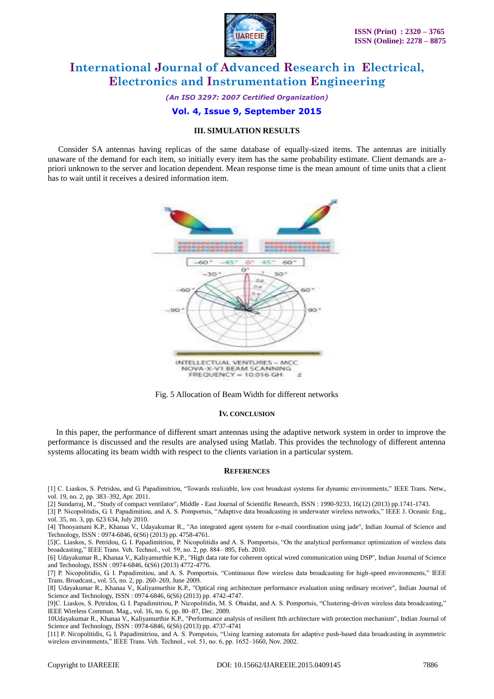

*(An ISO 3297: 2007 Certified Organization)*

#### **Vol. 4, Issue 9, September 2015**

#### **III. SIMULATION RESULTS**

 Consider SA antennas having replicas of the same database of equally-sized items. The antennas are initially unaware of the demand for each item, so initially every item has the same probability estimate. Client demands are apriori unknown to the server and location dependent. Mean response time is the mean amount of time units that a client has to wait until it receives a desired information item.





#### **IV. CONCLUSION**

 In this paper, the performance of different smart antennas using the adaptive network system in order to improve the performance is discussed and the results are analysed using Matlab. This provides the technology of different antenna systems allocating its beam width with respect to the clients variation in a particular system.

#### **REFERENCES**

[1] C. Liaskos, S. Petridou, and G. Papadimitriou, "Towards realizable, low cost broadcast systems for dynamic environments," IEEE Trans. Netw., vol. 19, no. 2, pp. 383–392, Apr. 2011.

[2] Sundarraj, M., "Study of compact ventilator", Middle - East Journal of Scientific Research, ISSN : 1990-9233, 16(12) (2013) pp.1741-1743.

[3] P. Nicopolitidis, G. I. Papadimitiou, and A. S. Pomportsis, "Adaptive data broadcasting in underwater wireless networks," IEEE J. Oceanic Eng., vol. 35, no. 3, pp. 623 634, July 2010.

[4] Thooyamani K.P., Khanaa V., Udayakumar R., "An integrated agent system for e-mail coordination using jade", Indian Journal of Science and Technology, ISSN : 0974-6846, 6(S6) (2013) pp. 4758-4761.

[5]C. Liaskos, S. Petridou, G. I. Papadimitriou, P. Nicopolitidis and A. S. Pomportsis, "On the analytical performance optimization of wireless data broadcasting," IEEE Trans. Veh. Technol., vol. 59, no. 2, pp. 884– 895, Feb. 2010.

[6] Udayakumar R., Khanaa V., Kaliyamurthie K.P., "High data rate for coherent optical wired communication using DSP", Indian Journal of Science and Technology, ISSN : 0974-6846, 6(S6) (2013) 4772-4776.

[7] P. Nicopolitidis, G. I. Papadimitiou, and A. S. Pomportsis, "Continuous flow wireless data broadcasting for high-speed environments," IEEE Trans. Broadcast., vol. 55, no. 2, pp. 260–269, June 2009.

[8] Udayakumar R., Khanaa V., Kaliyamurthie K.P., "Optical ring architecture performance evaluation using ordinary receiver", Indian Journal of Science and Technology, ISSN : 0974-6846, 6(S6) (2013) pp. 4742-4747.

[9]C. Liaskos, S. Petridou, G. I. Papadimitriou, P. Nicopolitidis, M. S. Obaidat, and A. S. Pomportsis, "Clustering-driven wireless data broadcasting," IEEE Wireless Commun. Mag., vol. 16, no. 6, pp. 80–87, Dec. 2009.

10Udayakumar R., Khanaa V., Kaliyamurthie K.P., "Performance analysis of resilient ftth architecture with protection mechanism", Indian Journal of Science and Technology, ISSN : 0974-6846, 6(S6) (2013) pp. 4737-4741

[11] P. Nicopolitidis, G. I. Papadimitriou, and A. S. Pompotsis, "Using learning automata for adaptive push-based data broadcasting in asymmetric wireless environments," IEEE Trans. Veh. Technol., vol. 51, no. 6, pp. 1652–1660, Nov. 2002.